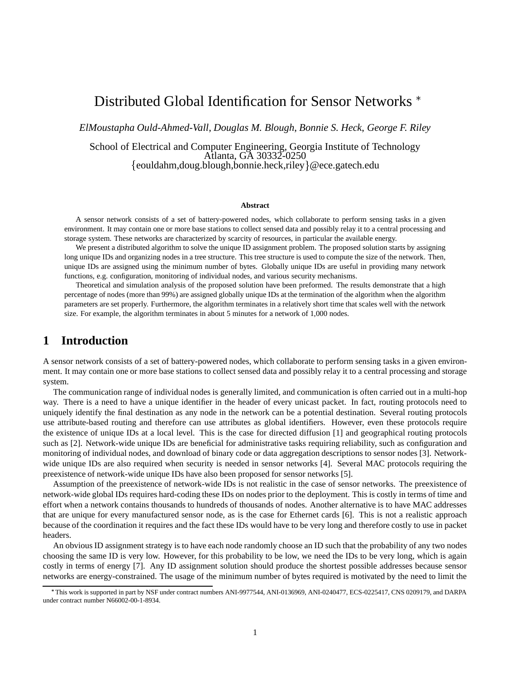# Distributed Global Identification for Sensor Networks

*ElMoustapha Ould-Ahmed-Vall*, *Douglas M. Blough*, *Bonnie S. Heck*, *George F. Riley*

School of Electrical and Computer Engineering, Georgia Institute of Technology Atlanta, GA 30332-0250 eouldahm,doug.blough,bonnie.heck,riley } @ece.gatech.edu

#### **Abstract**

A sensor network consists of a set of battery-powered nodes, which collaborate to perform sensing tasks in a given environment. It may contain one or more base stations to collect sensed data and possibly relay it to a central processing and storage system. These networks are characterized by scarcity of resources, in particular the available energy.

We present a distributed algorithm to solve the unique ID assignment problem. The proposed solution starts by assigning long unique IDs and organizing nodes in a tree structure. This tree structure is used to compute the size of the network. Then, unique IDs are assigned using the minimum number of bytes. Globally unique IDs are useful in providing many network functions, e.g. configuration, monitoring of individual nodes, and various security mechanisms.

Theoretical and simulation analysis of the proposed solution have been preformed. The results demonstrate that a high percentage of nodes (more than 99%) are assigned globally unique IDs at the termination of the algorithm when the algorithm parameters are set properly. Furthermore, the algorithm terminates in a relatively short time that scales well with the network size. For example, the algorithm terminates in about 5 minutes for a network of 1,000 nodes.

### **1 Introduction**

A sensor network consists of a set of battery-powered nodes, which collaborate to perform sensing tasks in a given environment. It may contain one or more base stations to collect sensed data and possibly relay it to a central processing and storage system.

The communication range of individual nodes is generally limited, and communication is often carried out in a multi-hop way. There is a need to have a unique identifier in the header of every unicast packet. In fact, routing protocols need to uniquely identify the final destination as any node in the network can be a potential destination. Several routing protocols use attribute-based routing and therefore can use attributes as global identifiers. However, even these protocols require the existence of unique IDs at a local level. This is the case for directed diffusion [1] and geographical routing protocols such as [2]. Network-wide unique IDs are beneficial for administrative tasks requiring reliability, such as configuration and monitoring of individual nodes, and download of binary code or data aggregation descriptions to sensor nodes [3]. Networkwide unique IDs are also required when security is needed in sensor networks [4]. Several MAC protocols requiring the preexistence of network-wide unique IDs have also been proposed for sensor networks [5].

Assumption of the preexistence of network-wide IDs is not realistic in the case of sensor networks. The preexistence of network-wide global IDs requires hard-coding these IDs on nodes prior to the deployment. This is costly in terms of time and effort when a network contains thousands to hundreds of thousands of nodes. Another alternative is to have MAC addresses that are unique for every manufactured sensor node, as is the case for Ethernet cards [6]. This is not a realistic approach because of the coordination it requires and the fact these IDs would have to be very long and therefore costly to use in packet headers.

An obvious ID assignment strategy is to have each node randomly choose an ID such that the probability of any two nodes choosing the same ID is very low. However, for this probability to be low, we need the IDs to be very long, which is again costly in terms of energy [7]. Any ID assignment solution should produce the shortest possible addresses because sensor networks are energy-constrained. The usage of the minimum number of bytes required is motivated by the need to limit the

This work is supported in part by NSF under contract numbers ANI-9977544, ANI-0136969, ANI-0240477, ECS-0225417, CNS 0209179, and DARPA under contract number N66002-00-1-8934.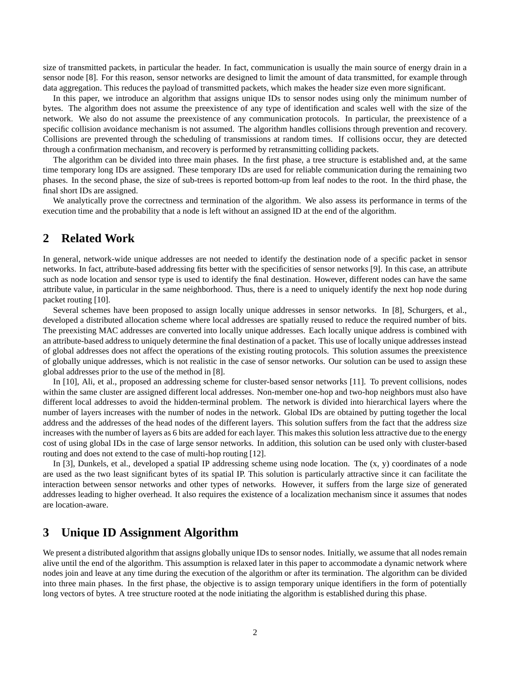size of transmitted packets, in particular the header. In fact, communication is usually the main source of energy drain in a sensor node [8]. For this reason, sensor networks are designed to limit the amount of data transmitted, for example through data aggregation. This reduces the payload of transmitted packets, which makes the header size even more significant.

In this paper, we introduce an algorithm that assigns unique IDs to sensor nodes using only the minimum number of bytes. The algorithm does not assume the preexistence of any type of identification and scales well with the size of the network. We also do not assume the preexistence of any communication protocols. In particular, the preexistence of a specific collision avoidance mechanism is not assumed. The algorithm handles collisions through prevention and recovery. Collisions are prevented through the scheduling of transmissions at random times. If collisions occur, they are detected through a confirmation mechanism, and recovery is performed by retransmitting colliding packets.

The algorithm can be divided into three main phases. In the first phase, a tree structure is established and, at the same time temporary long IDs are assigned. These temporary IDs are used for reliable communication during the remaining two phases. In the second phase, the size of sub-trees is reported bottom-up from leaf nodes to the root. In the third phase, the final short IDs are assigned.

We analytically prove the correctness and termination of the algorithm. We also assess its performance in terms of the execution time and the probability that a node is left without an assigned ID at the end of the algorithm.

### **2 Related Work**

In general, network-wide unique addresses are not needed to identify the destination node of a specific packet in sensor networks. In fact, attribute-based addressing fits better with the specificities of sensor networks [9]. In this case, an attribute such as node location and sensor type is used to identify the final destination. However, different nodes can have the same attribute value, in particular in the same neighborhood. Thus, there is a need to uniquely identify the next hop node during packet routing [10].

Several schemes have been proposed to assign locally unique addresses in sensor networks. In [8], Schurgers, et al., developed a distributed allocation scheme where local addresses are spatially reused to reduce the required number of bits. The preexisting MAC addresses are converted into locally unique addresses. Each locally unique address is combined with an attribute-based address to uniquely determine the final destination of a packet. This use of locally unique addresses instead of global addresses does not affect the operations of the existing routing protocols. This solution assumes the preexistence of globally unique addresses, which is not realistic in the case of sensor networks. Our solution can be used to assign these global addresses prior to the use of the method in [8].

In [10], Ali, et al., proposed an addressing scheme for cluster-based sensor networks [11]. To prevent collisions, nodes within the same cluster are assigned different local addresses. Non-member one-hop and two-hop neighbors must also have different local addresses to avoid the hidden-terminal problem. The network is divided into hierarchical layers where the number of layers increases with the number of nodes in the network. Global IDs are obtained by putting together the local address and the addresses of the head nodes of the different layers. This solution suffers from the fact that the address size increases with the number of layers as 6 bits are added for each layer. This makes this solution less attractive due to the energy cost of using global IDs in the case of large sensor networks. In addition, this solution can be used only with cluster-based routing and does not extend to the case of multi-hop routing [12].

In [3], Dunkels, et al., developed a spatial IP addressing scheme using node location. The (x, y) coordinates of a node are used as the two least significant bytes of its spatial IP. This solution is particularly attractive since it can facilitate the interaction between sensor networks and other types of networks. However, it suffers from the large size of generated addresses leading to higher overhead. It also requires the existence of a localization mechanism since it assumes that nodes are location-aware.

# **3 Unique ID Assignment Algorithm**

We present a distributed algorithm that assigns globally unique IDs to sensor nodes. Initially, we assume that all nodes remain alive until the end of the algorithm. This assumption is relaxed later in this paper to accommodate a dynamic network where nodes join and leave at any time during the execution of the algorithm or after its termination. The algorithm can be divided into three main phases. In the first phase, the objective is to assign temporary unique identifiers in the form of potentially long vectors of bytes. A tree structure rooted at the node initiating the algorithm is established during this phase.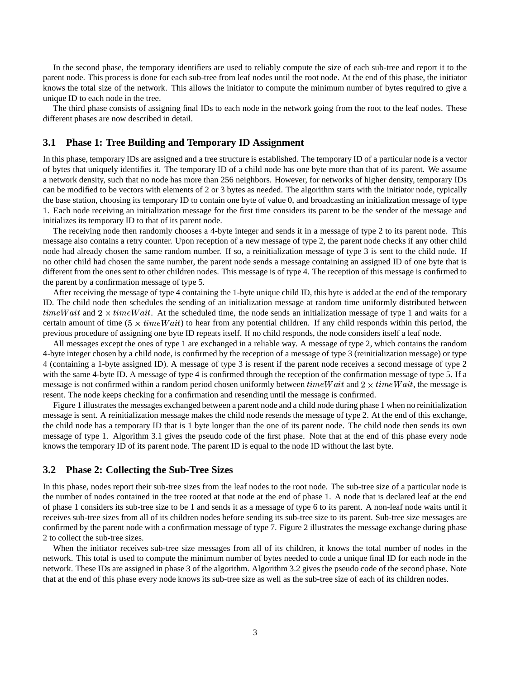In the second phase, the temporary identifiers are used to reliably compute the size of each sub-tree and report it to the parent node. This process is done for each sub-tree from leaf nodes until the root node. At the end of this phase, the initiator knows the total size of the network. This allows the initiator to compute the minimum number of bytes required to give a unique ID to each node in the tree.

The third phase consists of assigning final IDs to each node in the network going from the root to the leaf nodes. These different phases are now described in detail.

#### **3.1 Phase 1: Tree Building and Temporary ID Assignment**

In this phase, temporary IDs are assigned and a tree structure is established. The temporary ID of a particular node is a vector of bytes that uniquely identifies it. The temporary ID of a child node has one byte more than that of its parent. We assume a network density, such that no node has more than 256 neighbors. However, for networks of higher density, temporary IDs can be modified to be vectors with elements of 2 or 3 bytes as needed. The algorithm starts with the initiator node, typically the base station, choosing its temporary ID to contain one byte of value 0, and broadcasting an initialization message of type 1. Each node receiving an initialization message for the first time considers its parent to be the sender of the message and initializes its temporary ID to that of its parent node.

The receiving node then randomly chooses a 4-byte integer and sends it in a message of type 2 to its parent node. This message also contains a retry counter. Upon reception of a new message of type 2, the parent node checks if any other child node had already chosen the same random number. If so, a reinitialization message of type 3 is sent to the child node. If no other child had chosen the same number, the parent node sends a message containing an assigned ID of one byte that is different from the ones sent to other children nodes. This message is of type 4. The reception of this message is confirmed to the parent by a confirmation message of type 5.

After receiving the message of type 4 containing the 1-byte unique child ID, this byte is added at the end of the temporary ID. The child node then schedules the sending of an initialization message at random time uniformly distributed between  $timeWait$  and  $2 \times timeWait$ . At the scheduled time, the node sends an initialization message of type 1 and waits for a certain amount of time  $(5 \times timeWait)$  to hear from any potential children. If any child responds within this period, the previous procedure of assigning one byte ID repeats itself. If no child responds, the node considers itself a leaf node.

All messages except the ones of type 1 are exchanged in a reliable way. A message of type 2, which contains the random 4-byte integer chosen by a child node, is confirmed by the reception of a message of type 3 (reinitialization message) or type 4 (containing a 1-byte assigned ID). A message of type 3 is resent if the parent node receives a second message of type 2 with the same 4-byte ID. A message of type 4 is confirmed through the reception of the confirmation message of type 5. If a message is not confirmed within a random period chosen uniformly between  $timeWait$  and  $2 \times timeWait$ , the message is resent. The node keeps checking for a confirmation and resending until the message is confirmed.

Figure 1 illustrates the messages exchanged between a parent node and a child node during phase 1 when no reinitialization message is sent. A reinitialization message makes the child node resends the message of type 2. At the end of this exchange, the child node has a temporary ID that is 1 byte longer than the one of its parent node. The child node then sends its own message of type 1. Algorithm 3.1 gives the pseudo code of the first phase. Note that at the end of this phase every node knows the temporary ID of its parent node. The parent ID is equal to the node ID without the last byte.

#### **3.2 Phase 2: Collecting the Sub-Tree Sizes**

In this phase, nodes report their sub-tree sizes from the leaf nodes to the root node. The sub-tree size of a particular node is the number of nodes contained in the tree rooted at that node at the end of phase 1. A node that is declared leaf at the end of phase 1 considers its sub-tree size to be 1 and sends it as a message of type 6 to its parent. A non-leaf node waits until it receives sub-tree sizes from all of its children nodes before sending its sub-tree size to its parent. Sub-tree size messages are confirmed by the parent node with a confirmation message of type 7. Figure 2 illustrates the message exchange during phase 2 to collect the sub-tree sizes.

When the initiator receives sub-tree size messages from all of its children, it knows the total number of nodes in the network. This total is used to compute the minimum number of bytes needed to code a unique final ID for each node in the network. These IDs are assigned in phase 3 of the algorithm. Algorithm 3.2 gives the pseudo code of the second phase. Note that at the end of this phase every node knows its sub-tree size as well as the sub-tree size of each of its children nodes.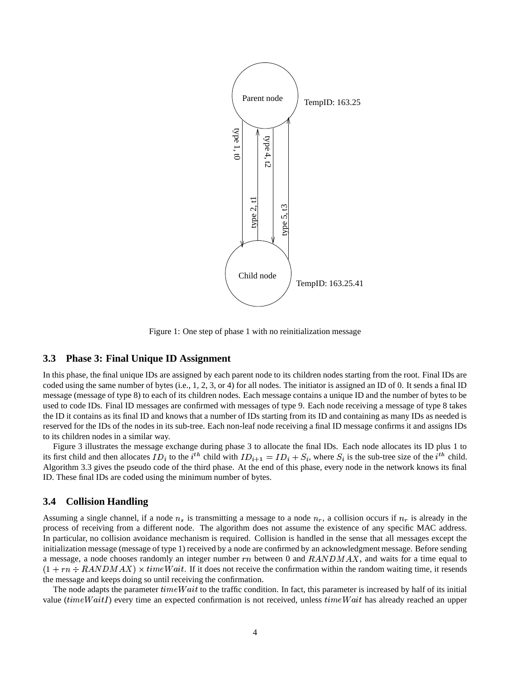

Figure 1: One step of phase 1 with no reinitialization message

#### **3.3 Phase 3: Final Unique ID Assignment**

In this phase, the final unique IDs are assigned by each parent node to its children nodes starting from the root. Final IDs are coded using the same number of bytes (i.e., 1, 2, 3, or 4) for all nodes. The initiator is assigned an ID of 0. It sends a final ID message (message of type 8) to each of its children nodes. Each message contains a unique ID and the number of bytes to be used to code IDs. Final ID messages are confirmed with messages of type 9. Each node receiving a message of type 8 takes the ID it contains as its final ID and knows that a number of IDs starting from its ID and containing as many IDs as needed is reserved for the IDs of the nodes in its sub-tree. Each non-leaf node receiving a final ID message confirms it and assigns IDs to its children nodes in a similar way.

Figure 3 illustrates the message exchange during phase 3 to allocate the final IDs. Each node allocates its ID plus 1 to its first child and then allocates  $ID_i$  to the  $i^{th}$  child with  $ID_{i+1} = ID_i + S_i$ , where  $S_i$  is the sub-tree size of the  $i^{th}$  child. Algorithm 3.3 gives the pseudo code of the third phase. At the end of this phase, every node in the network knows its final ID. These final IDs are coded using the minimum number of bytes.

#### **3.4 Collision Handling**

Assuming a single channel, if a node  $n_s$  is transmitting a message to a node  $n_r$ , a collision occurs if  $n_r$  is already in the process of receiving from a different node. The algorithm does not assume the existence of any specific MAC address. In particular, no collision avoidance mechanism is required. Collision is handled in the sense that all messages except the initialization message (message of type 1) received by a node are confirmed by an acknowledgment message. Before sending a message, a node chooses randomly an integer number  $rn$  between 0 and  $\overline{RANDMAX}$ , and waits for a time equal to  $(1 + rn \div \text{RANDMAX}) \times timeWait$ . If it does not receive the confirmation within the random waiting time, it resends the message and keeps doing so until receiving the confirmation.

The node adapts the parameter  $timeWait$  to the traffic condition. In fact, this parameter is increased by half of its initial value (time WaitI) every time an expected confirmation is not received, unless  $timeWait$  has already reached an upper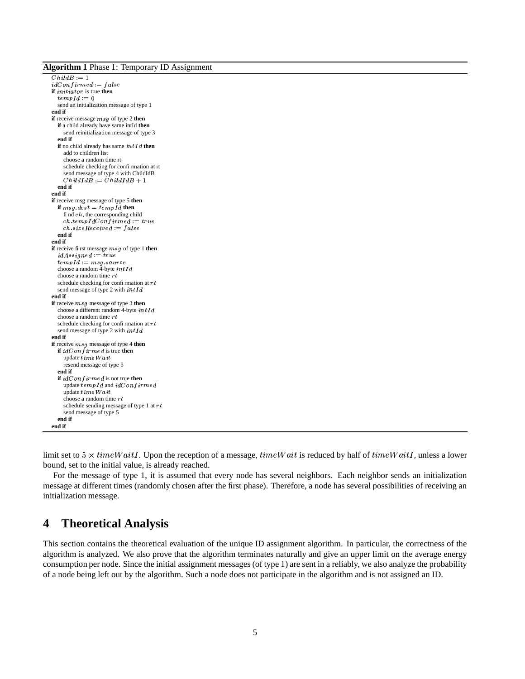```
ChildB := 1idContimmod = falseif initiator is true then
  \epsilonemnia \epsilon = 0send an initialization message of type 1
end if
if receive message msg of type 2 then
  if a child already have same intId then
    send reinitialization message of type 3
  end if
  if no child already has same intId then
    add to children list
    choose a random time rt
    schedule checking for confirmation at rt
    send message of type 4 with ChildIdB
     ChildIdB := ChildIdB + 1\blacksquareend if
end if
if receive msg message of type 5 then
  if msg. dest = tempId then
     find ch, the corresponding child
     ch.templdConfirmed := true\label{eq:ch} \begin{aligned} &\textit{ch.sizeReceived} := \textit{false} \\ \end{aligned}end if
end if
if receive first message m sg of type 1 then
  id Assigned \cdot = \, true{ tem} { \bf \it{v} {\bf \it{I}} } = { \it{m} {\it{s}} } { \it{o}} { \it{urce} }choose a random 4-byte intIdchoose a random time rtschedule checking for confirmation at rtsend message of type 2 with int I dend if
if receive msg message of type 3 then
  choose a different random 4-byte intIdchoose a random time rtschedule checking for confirmation at rtsend message of type 2 with int I dend if
if receive msq message of type 4 then
  if idConfirmed is true then
     update timeWaitresend message of type 5
  end if
  if idConfirmed is not true then
     update \boldsymbol{tempId} and \boldsymbol{idConfimed}update timeWaitchoose a random time rtschedule sending message of type 1 at rtsend message of type 5
  end if
end if
```
limit set to  $5 \times timeWaitI$ . Upon the reception of a message,  $timeWait$  is reduced by half of  $timeWaitI$ , unless a lower bound, set to the initial value, is already reached.

For the message of type 1, it is assumed that every node has several neighbors. Each neighbor sends an initialization message at different times (randomly chosen after the first phase). Therefore, a node has several possibilities of receiving an initialization message.

### **4 Theoretical Analysis**

This section contains the theoretical evaluation of the unique ID assignment algorithm. In particular, the correctness of the algorithm is analyzed. We also prove that the algorithm terminates naturally and give an upper limit on the average energy consumption per node. Since the initial assignment messages (of type 1) are sent in a reliably, we also analyze the probability of a node being left out by the algorithm. Such a node does not participate in the algorithm and is not assigned an ID.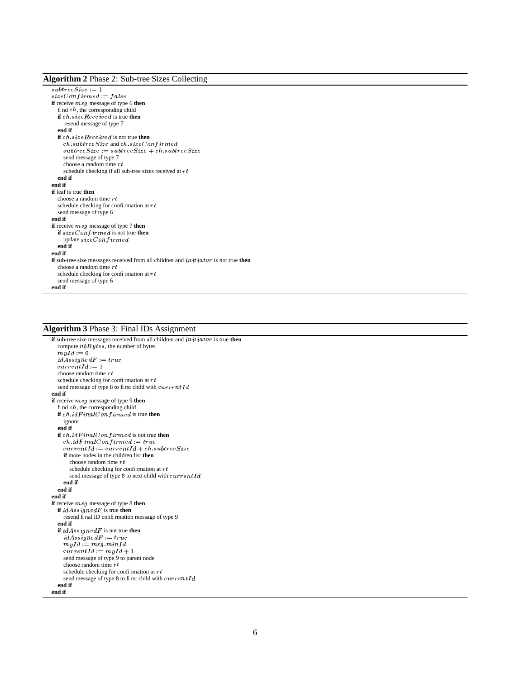| Algorithm 2 Phase 2: Sub-tree Sizes Collecting |
|------------------------------------------------|
|------------------------------------------------|

| $subtreeSize := 1$                                                                                |
|---------------------------------------------------------------------------------------------------|
| $sizeConfirmed := false$                                                                          |
| <b>if</b> receive $msq$ message of type 6 <b>then</b>                                             |
| find $ch$ , the corresponding child                                                               |
| if $ch$ , $size$ $Receive$ $d$ is true then                                                       |
| resend message of type 7                                                                          |
| end if                                                                                            |
| <b>if</b> ch. $size$ Received is not true <b>then</b>                                             |
| $ch$ subtree $Size$ and $ch$ size $Confirmed$                                                     |
| $subtreeSize := subtreeSize + ch.subtreeSize$                                                     |
| send message of type 7                                                                            |
| choose a random time $rt$                                                                         |
| schedule checking if all sub-tree sizes received at $rt$                                          |
| end if                                                                                            |
| end if                                                                                            |
| <b>if</b> leaf is true <b>then</b>                                                                |
| choose a random time $rt$                                                                         |
| schedule checking for confirmation at $rt$                                                        |
| send message of type 6                                                                            |
| end if                                                                                            |
| if receive $msg$ message of type 7 then                                                           |
| if $sizeConfirmed$ is not true then                                                               |
| update $sizeConfirmed$                                                                            |
| end if                                                                                            |
| end if                                                                                            |
| <b>if</b> sub-tree size messages received from all children and <i>initiator</i> is not true then |
| choose a random time $rt$                                                                         |
| schedule checking for confirmation at $rt$                                                        |
| send message of type 6                                                                            |
| end if                                                                                            |

#### **Algorithm 3** Phase 3: Final IDs Assignment

```
if sub-tree size messages received from all children and initiator is true then
   compute n \, b \, B \, y \, t \, e \, s, the number of bytes
  myId := 0id Aerianed F := truecurrentId := 1choose random time rtschedule checking for confirmation at rtsend message of type 8 to first child with currentIdend if
if receive msg message of type 9 then
   find ch, the corresponding child
   if ch.idFinalConfig ir med is true then
    ignore
  end if
   if ch.idFinalConfig ir med is not true then
     ch\_idFinalConfirmed := truecurrentId := currentId + ch.subtreeSizeif more nodes in the children list then
       choose random time rtschedule checking for confirmation at rt<br>send message of type 8 to next child with currentIdend if
  end if
end if
if receive msg message of type 8 then<br>
if idAs signedF is true then
     resend final ID confirmation message of type 9
  end if
   if idAs signedF is not true then<br>idAesinnedF = truemyId := msg.minId \ \mathop{current} Id := m vId + 1\blacksquaresend message of type 9 to parent node
    choose random time rtschedule checking for confirmation at rtsend message of type 8 to first child with currentIdend if
end if
```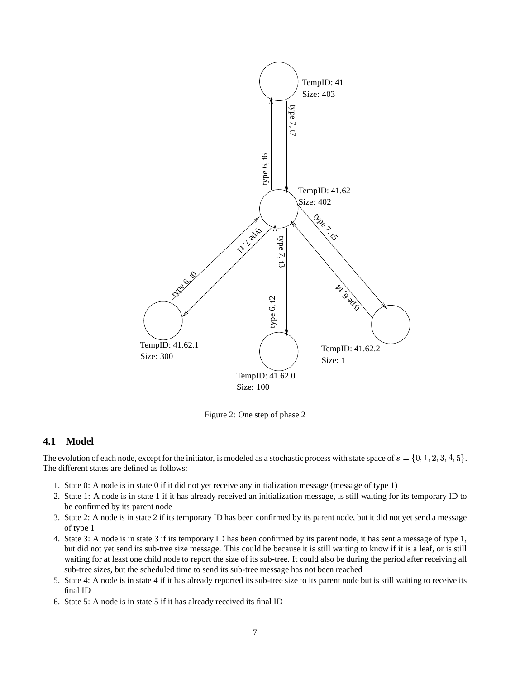

Figure 2: One step of phase 2

### **4.1 Model**

The evolution of each node, except for the initiator, is modeled as a stochastic process with state space of  $s = \{0, 1, 2, 3, 4, 5\}$ . The different states are defined as follows:

- 1. State 0: A node is in state 0 if it did not yet receive any initialization message (message of type 1)
- 2. State 1: A node is in state 1 if it has already received an initialization message, is still waiting for its temporary ID to be confirmed by its parent node
- 3. State 2: A node is in state 2 if its temporary ID has been confirmed by its parent node, but it did not yet send a message of type 1
- 4. State 3: A node is in state 3 if its temporary ID has been confirmed by its parent node, it has sent a message of type 1, but did not yet send its sub-tree size message. This could be because it is still waiting to know if it is a leaf, or is still waiting for at least one child node to report the size of its sub-tree. It could also be during the period after receiving all sub-tree sizes, but the scheduled time to send its sub-tree message has not been reached
- 5. State 4: A node is in state 4 if it has already reported its sub-tree size to its parent node but is still waiting to receive its final ID
- 6. State 5: A node is in state 5 if it has already received its final ID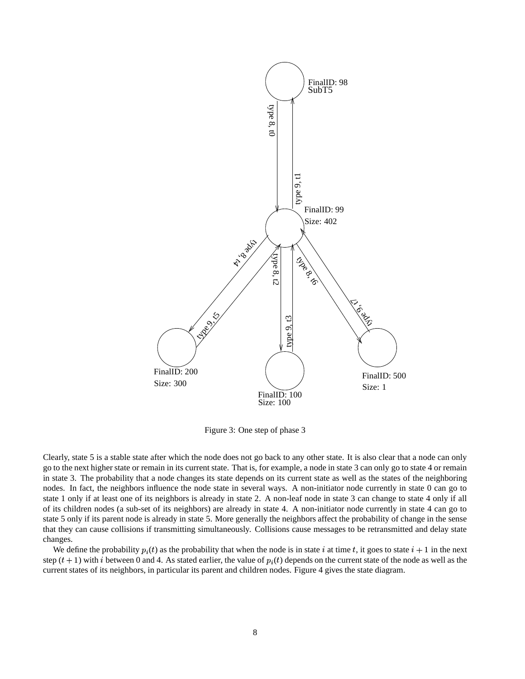

Figure 3: One step of phase 3

Clearly, state 5 is a stable state after which the node does not go back to any other state. It is also clear that a node can only go to the next higher state or remain in its current state. That is, for example, a node in state 3 can only go to state 4 or remain in state 3. The probability that a node changes its state depends on its current state as well as the states of the neighboring nodes. In fact, the neighbors influence the node state in several ways. A non-initiator node currently in state 0 can go to state 1 only if at least one of its neighbors is already in state 2. A non-leaf node in state 3 can change to state 4 only if all of its children nodes (a sub-set of its neighbors) are already in state 4. A non-initiator node currently in state 4 can go to state 5 only if its parent node is already in state 5. More generally the neighbors affect the probability of change in the sense that they can cause collisions if transmitting simultaneously. Collisions cause messages to be retransmitted and delay state changes.

We define the probability  $p_i(t)$  as the probability that when the node is in state i at time t, it goes to state  $i + 1$  in the next step  $(t + 1)$  with i between 0 and 4. As stated earlier, the value of  $p_i(t)$  depends on the current state of the node as well as the current states of its neighbors, in particular its parent and children nodes. Figure 4 gives the state diagram.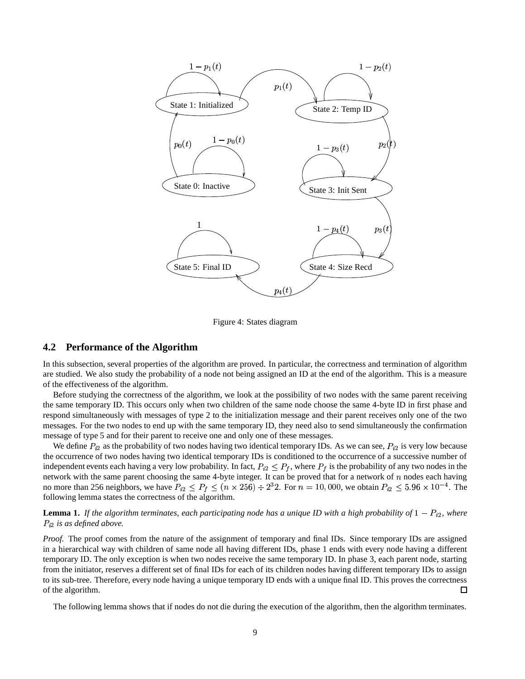

Figure 4: States diagram

#### **4.2 Performance of the Algorithm**

In this subsection, several properties of the algorithm are proved. In particular, the correctness and termination of algorithm are studied. We also study the probability of a node not being assigned an ID at the end of the algorithm. This is a measure of the effectiveness of the algorithm.

Before studying the correctness of the algorithm, we look at the possibility of two nodes with the same parent receiving the same temporary ID. This occurs only when two children of the same node choose the same 4-byte ID in first phase and respond simultaneously with messages of type 2 to the initialization message and their parent receives only one of the two messages. For the two nodes to end up with the same temporary ID, they need also to send simultaneously the confirmation message of type 5 and for their parent to receive one and only one of these messages.

We define  $P_{i2}$  as the probability of two nodes having two identical temporary IDs. As we can see,  $P_{i2}$  is very low because the occurrence of two nodes having two identical temporary IDs is conditioned to the occurrence of a successive number of independent events each having a very low probability. In fact,  $P_{i2} \leq P_f$ , where  $P_f$  is the probability of any two nodes in the network with the same parent choosing the same 4-byte integer. It can be proved that for a network of  $n$  nodes each having no more than 256 neighbors, we have  $P_{i2} \le P_f \le (n \times 256) \div 2^{32}$ . For  $n = 10,000$ , we obtain  $P_{i2} \le 5.96 \times 10^{-4}$ . The following lemma states the correctness of the algorithm.

**Lemma 1.** If the algorithm terminates, each participating node has a unique ID with a high probability of  $1 - P_{i2}$ , where *is as defined above.*

*Proof.* The proof comes from the nature of the assignment of temporary and final IDs. Since temporary IDs are assigned in a hierarchical way with children of same node all having different IDs, phase 1 ends with every node having a different temporary ID. The only exception is when two nodes receive the same temporary ID. In phase 3, each parent node, starting from the initiator, reserves a different set of final IDs for each of its children nodes having different temporary IDs to assign to its sub-tree. Therefore, every node having a unique temporary ID ends with a unique final ID. This proves the correctness of the algorithm. □

The following lemma shows that if nodes do not die during the execution of the algorithm, then the algorithm terminates.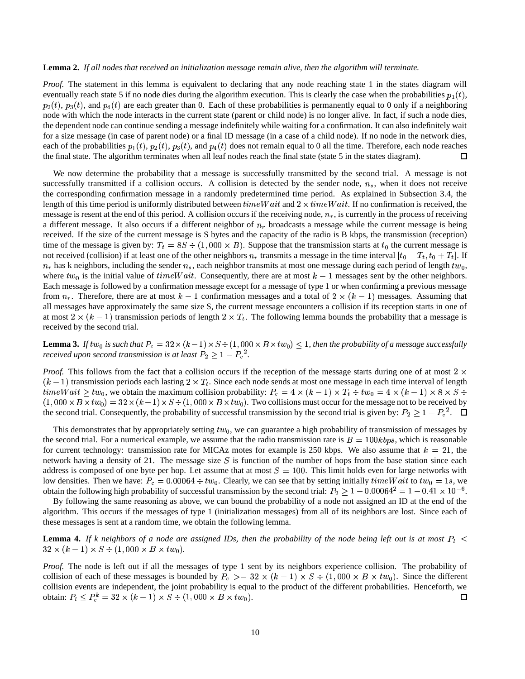#### **Lemma 2.** If all nodes that received an initialization message remain alive, then the algorithm will terminate.

*Proof.* The statement in this lemma is equivalent to declaring that any node reaching state 1 in the states diagram will eventually reach state 5 if no node dies during the algorithm execution. This is clearly the case when the probabilities  $p_1(t)$ ,  $p_2(t)$ ,  $p_3(t)$ , and  $p_4(t)$  are each greater than 0. Each of these probabilities is permanently equal to 0 only if a neighboring node with which the node interacts in the current state (parent or child node) is no longer alive. In fact, if such a node dies, the dependent node can continue sending a message indefinitely while waiting for a confirmation. It can also indefinitely wait for a size message (in case of parent node) or a final ID message (in a case of a child node). If no node in the network dies, each of the probabilities  $p_1(t)$ ,  $p_2(t)$ ,  $p_3(t)$ , and  $p_4(t)$  does not remain equal to 0 all the time. Therefore, each node reaches the final state. The algorithm terminates when all leaf nodes reach the final state (state 5 in the states diagram).  $\Box$ 

We now determine the probability that a message is successfully transmitted by the second trial. A message is not successfully transmitted if a collision occurs. A collision is detected by the sender node,  $n_s$ , when it does not receive the corresponding confirmation message in a randomly predetermined time period. As explained in Subsection 3.4, the length of this time period is uniformly distributed between  $timeWait$  and  $2 \times timeWait$ . If no confirmation is received, the message is resent at the end of this period. A collision occurs if the receiving node,  $n_r$ , is currently in the process of receiving a different message. It also occurs if a different neighbor of  $n_r$  broadcasts a message while the current message is being received. If the size of the current message is S bytes and the capacity of the radio is B kbps, the transmission (reception) time of the message is given by:  $T_t = 8S \div (1,000 \times B)$ . Suppose that the transmission starts at  $t_0$  the current message is not received (collision) if at least one of the other neighbors  $n_r$  transmits a message in the time interval  $[t_0-T_t, t_0+T_t]$ . If  $n_r$  has k neighbors, including the sender  $n_s$ , each neighbor transmits at most one message during each period of length  $tw_0$ , where  $tw_0$  is the initial value of  $timeWait$ . Consequently, there are at most  $k-1$  messages sent by the other neighbors. Each message is followed by a confirmation message except for a message of type 1 or when confirming a previous message from  $n_r$ . Therefore, there are at most  $k-1$  confirmation messages and a total of  $2 \times (k-1)$  messages. Assuming that all messages have approximately the same size S, the current message encounters a collision if its reception starts in one of at most  $2 \times (k-1)$  transmission periods of length  $2 \times T_t$ . The following lemma bounds the probability that a message is received by the second trial.

 ${\bf Lemma\ 3.}$  If  $tw_0$  is such that  $P_c=32\times (k-1)\times S\div (1,000\times B\times tw_0)\leq 1,$  then the probability of a message successfully *received upon second transmission is at least*  $P_2 \geq 1 - P_c^2$ .

*Proof.* This follows from the fact that a collision occurs if the reception of the message starts during one of at most  $2 \times$  $(k-1)$  transmission periods each lasting  $2 \times T_t$ . Since each node sends at most one message in each time interval of length  $timeWait \geq tw_0$ , we obtain the maximum collision probability:  $P_c = 4 \times (k-1) \times T_t \div tw_0 = 4 \times (k-1) \times 8 \times S \div$  $(1,000\times B\times tw_0)=32\times (k-1)\times S\div (1,000\times B\times tw_0)$ . Two collisions must occur for the message not to be received by the second trial. Consequently, the probability of successful transmission by the second trial is given by:  $P_2 \ge 1 - P_c^2$ .  $\Box$ 

This demonstrates that by appropriately setting  $tw_0$ , we can guarantee a high probability of transmission of messages by the second trial. For a numerical example, we assume that the radio transmission rate is  $B = 100kbps$ , which is reasonable for current technology: transmission rate for MICAz motes for example is 250 kbps. We also assume that  $k = 21$ , the network having a density of 21. The message size  $S$  is function of the number of hops from the base station since each address is composed of one byte per hop. Let assume that at most  $S = 100$ . This limit holds even for large networks with low densities. Then we have:  $P_c = 0.00064 \div tw_0$ . Clearly, we can see that by setting initially  $timeWait$  to  $tw_0 = 1s$ , we obtain the following high probability of successful transmission by the second trial:  $P_2 \ge 1 - 0.00064^2 = 1 - 0.41 \times 10^{-6}$ .

By following the same reasoning as above, we can bound the probability of a node not assigned an ID at the end of the algorithm. This occurs if the messages of type 1 (initialization messages) from all of its neighbors are lost. Since each of these messages is sent at a random time, we obtain the following lemma.

**Lemma 4.** If k neighbors of a node are assigned IDs, then the probability of the node being left out is at most  $P_1 \leq$  $32 \times (k-1) \times S \div (1,000 \times B \times tw_0).$ 

*Proof.* The node is left out if all the messages of type 1 sent by its neighbors experience collision. The probability of collision of each of these messages is bounded by  $P_c \geq 32 \times (k-1) \times S \div (1,000 \times B \times tw_0)$ . Since the different collision events are independent, the joint probability is equal to the product of the different probabilities. Henceforth, we obtain:  $P_l \le P_c^k = 32 \times (k-1) \times S \div (1,000 \times B \times tw_0)$ .  $\Box$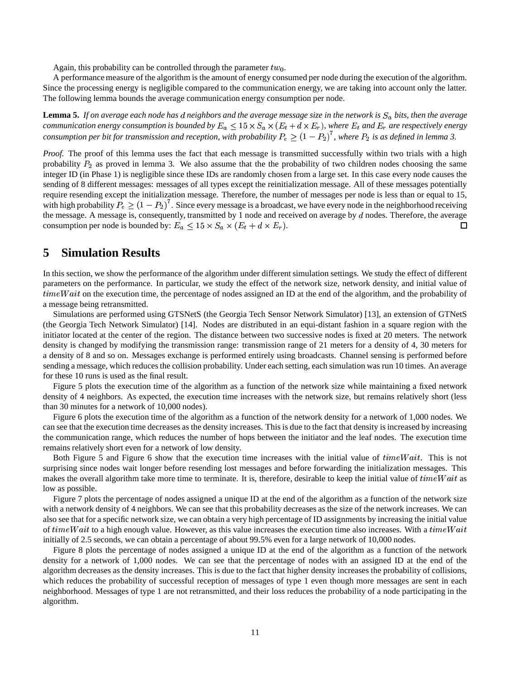Again, this probability can be controlled through the parameter  $tw_0$ .

A performance measure of the algorithm is the amount of energy consumed per node during the execution of the algorithm. Since the processing energy is negligible compared to the communication energy, we are taking into account only the latter. The following lemma bounds the average communication energy consumption per node.

**Lemma 5.** If on average each node has d neighbors and the average message size in the network is  $S_a$  bits, then the average *communication energy consumption is bounded by*  $E_a \leq 15 \times S_a \times (E_t + d \times E_r)$ *, where*  $E_t$  *and*  $E_r$  *are respectively energy* consumption per bit for transmission and reception, with probability  $P_e \geq {(1-P_2)}^7$ , where  $P_2$  is as defined in lemma 3.

*Proof.* The proof of this lemma uses the fact that each message is transmitted successfully within two trials with a high probability  $P_2$  as proved in lemma 3. We also assume that the the probability of two children nodes choosing the same integer ID (in Phase 1) is negligible since these IDs are randomly chosen from a large set. In this case every node causes the sending of 8 different messages: messages of all types except the reinitialization message. All of these messages potentially require resending except the initialization message. Therefore, the number of messages per node is less than or equal to 15, with high probability  $P_e \ge (1 - P_2)^7$ . Since every message is a broadcast, we have every node in the neighborhood receiving the message. A message is, consequently, transmitted by 1 node and received on average by  $d$  nodes. Therefore, the average consumption per node is bounded by:  $E_a \leq 15 \times S_a \times (E_t + d \times E_r)$ .  $\Box$ 

### **5 Simulation Results**

In this section, we show the performance of the algorithm under different simulation settings. We study the effect of different parameters on the performance. In particular, we study the effect of the network size, network density, and initial value of  $timeWait$  on the execution time, the percentage of nodes assigned an ID at the end of the algorithm, and the probability of a message being retransmitted.

Simulations are performed using GTSNetS (the Georgia Tech Sensor Network Simulator) [13], an extension of GTNetS (the Georgia Tech Network Simulator) [14]. Nodes are distributed in an equi-distant fashion in a square region with the initiator located at the center of the region. The distance between two successive nodes is fixed at 20 meters. The network density is changed by modifying the transmission range: transmission range of 21 meters for a density of 4, 30 meters for a density of 8 and so on. Messages exchange is performed entirely using broadcasts. Channel sensing is performed before sending a message, which reduces the collision probability. Under each setting, each simulation was run 10 times. An average for these 10 runs is used as the final result.

Figure 5 plots the execution time of the algorithm as a function of the network size while maintaining a fixed network density of 4 neighbors. As expected, the execution time increases with the network size, but remains relatively short (less than 30 minutes for a network of 10,000 nodes).

Figure 6 plots the execution time of the algorithm as a function of the network density for a network of 1,000 nodes. We can see that the execution time decreases as the density increases. This is due to the fact that density is increased by increasing the communication range, which reduces the number of hops between the initiator and the leaf nodes. The execution time remains relatively short even for a network of low density.

Both Figure 5 and Figure 6 show that the execution time increases with the initial value of  $timeWait$ . This is not surprising since nodes wait longer before resending lost messages and before forwarding the initialization messages. This makes the overall algorithm take more time to terminate. It is, therefore, desirable to keep the initial value of  $timeWait$  as low as possible.

Figure 7 plots the percentage of nodes assigned a unique ID at the end of the algorithm as a function of the network size with a network density of 4 neighbors. We can see that this probability decreases as the size of the network increases. We can also see that for a specific network size, we can obtain a very high percentage of ID assignments by increasing the initial value of  $timeWait$  to a high enough value. However, as this value increases the execution time also increases. With a  $timeWait$ initially of 2.5 seconds, we can obtain a percentage of about 99.5% even for a large network of 10,000 nodes.

Figure 8 plots the percentage of nodes assigned a unique ID at the end of the algorithm as a function of the network density for a network of 1,000 nodes. We can see that the percentage of nodes with an assigned ID at the end of the algorithm decreases as the density increases. This is due to the fact that higher density increases the probability of collisions, which reduces the probability of successful reception of messages of type 1 even though more messages are sent in each neighborhood. Messages of type 1 are not retransmitted, and their loss reduces the probability of a node participating in the algorithm.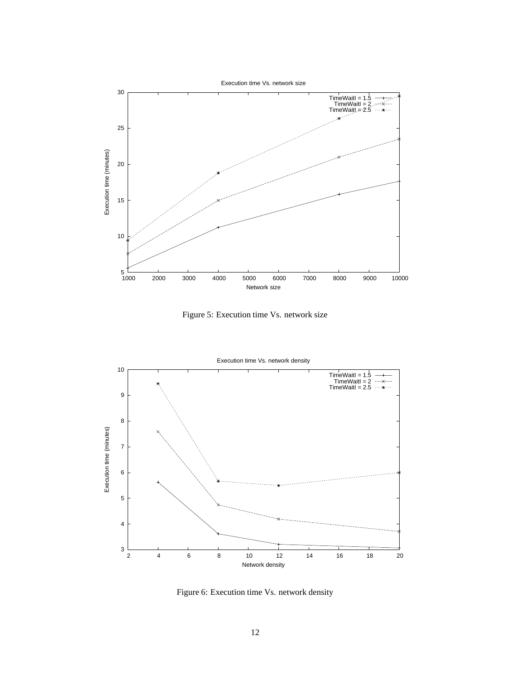

Figure 5: Execution time Vs. network size



Figure 6: Execution time Vs. network density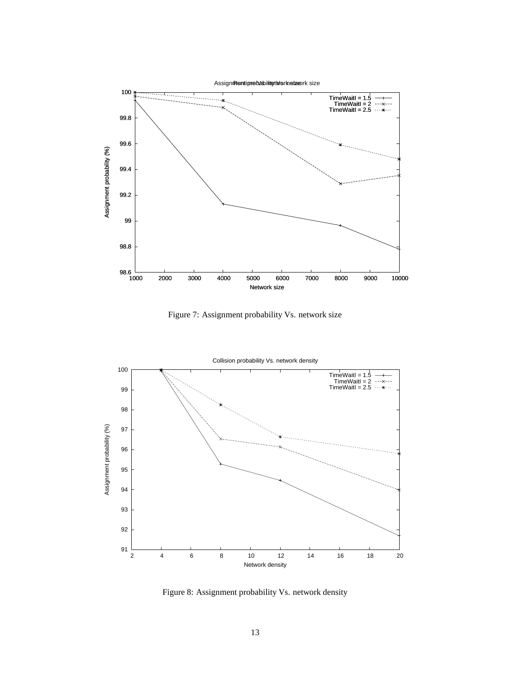

Figure 7: Assignment probability Vs. network size



Figure 8: Assignment probability Vs. network density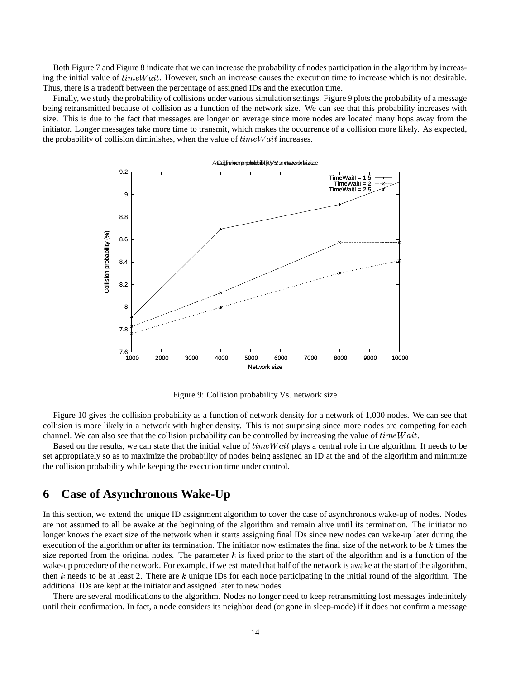Both Figure 7 and Figure 8 indicate that we can increase the probability of nodes participation in the algorithm by increasing the initial value of  $timeWait$ . However, such an increase causes the execution time to increase which is not desirable. Thus, there is a tradeoff between the percentage of assigned IDs and the execution time.

Finally, we study the probability of collisions under various simulation settings. Figure 9 plots the probability of a message being retransmitted because of collision as a function of the network size. We can see that this probability increases with size. This is due to the fact that messages are longer on average since more nodes are located many hops away from the initiator. Longer messages take more time to transmit, which makes the occurrence of a collision more likely. As expected, the probability of collision diminishes, when the value of  $timeWait$  increases.



Figure 9: Collision probability Vs. network size

Figure 10 gives the collision probability as a function of network density for a network of 1,000 nodes. We can see that collision is more likely in a network with higher density. This is not surprising since more nodes are competing for each channel. We can also see that the collision probability can be controlled by increasing the value of  $timeWait$ .

Based on the results, we can state that the initial value of  $timeWait$  plays a central role in the algorithm. It needs to be set appropriately so as to maximize the probability of nodes being assigned an ID at the and of the algorithm and minimize the collision probability while keeping the execution time under control.

## **6 Case of Asynchronous Wake-Up**

In this section, we extend the unique ID assignment algorithm to cover the case of asynchronous wake-up of nodes. Nodes are not assumed to all be awake at the beginning of the algorithm and remain alive until its termination. The initiator no longer knows the exact size of the network when it starts assigning final IDs since new nodes can wake-up later during the execution of the algorithm or after its termination. The initiator now estimates the final size of the network to be  $k$  times the size reported from the original nodes. The parameter  $k$  is fixed prior to the start of the algorithm and is a function of the wake-up procedure of the network. For example, if we estimated that half of the network is awake at the start of the algorithm, then  $k$  needs to be at least 2. There are  $k$  unique IDs for each node participating in the initial round of the algorithm. The additional IDs are kept at the initiator and assigned later to new nodes.

There are several modifications to the algorithm. Nodes no longer need to keep retransmitting lost messages indefinitely until their confirmation. In fact, a node considers its neighbor dead (or gone in sleep-mode) if it does not confirm a message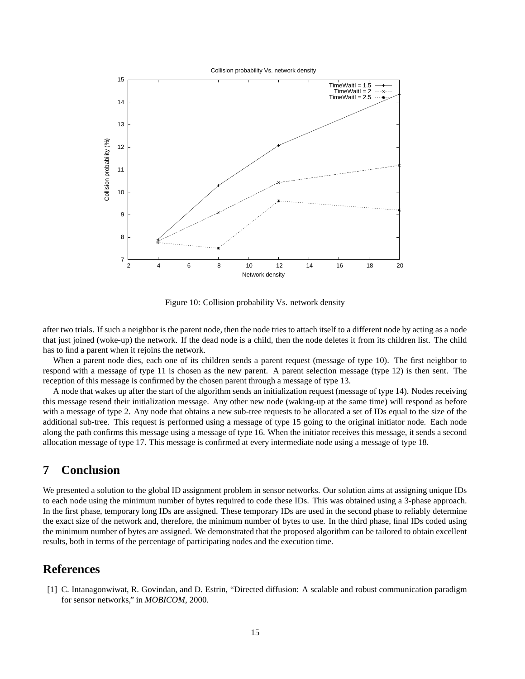

Figure 10: Collision probability Vs. network density

after two trials. If such a neighbor is the parent node, then the node tries to attach itself to a different node by acting as a node that just joined (woke-up) the network. If the dead node is a child, then the node deletes it from its children list. The child has to find a parent when it rejoins the network.

When a parent node dies, each one of its children sends a parent request (message of type 10). The first neighbor to respond with a message of type 11 is chosen as the new parent. A parent selection message (type 12) is then sent. The reception of this message is confirmed by the chosen parent through a message of type 13.

A node that wakes up after the start of the algorithm sends an initialization request (message of type 14). Nodes receiving this message resend their initialization message. Any other new node (waking-up at the same time) will respond as before with a message of type 2. Any node that obtains a new sub-tree requests to be allocated a set of IDs equal to the size of the additional sub-tree. This request is performed using a message of type 15 going to the original initiator node. Each node along the path confirms this message using a message of type 16. When the initiator receives this message, it sends a second allocation message of type 17. This message is confirmed at every intermediate node using a message of type 18.

## **7 Conclusion**

We presented a solution to the global ID assignment problem in sensor networks. Our solution aims at assigning unique IDs to each node using the minimum number of bytes required to code these IDs. This was obtained using a 3-phase approach. In the first phase, temporary long IDs are assigned. These temporary IDs are used in the second phase to reliably determine the exact size of the network and, therefore, the minimum number of bytes to use. In the third phase, final IDs coded using the minimum number of bytes are assigned. We demonstrated that the proposed algorithm can be tailored to obtain excellent results, both in terms of the percentage of participating nodes and the execution time.

## **References**

[1] C. Intanagonwiwat, R. Govindan, and D. Estrin, "Directed diffusion: A scalable and robust communication paradigm for sensor networks," in *MOBICOM*, 2000.